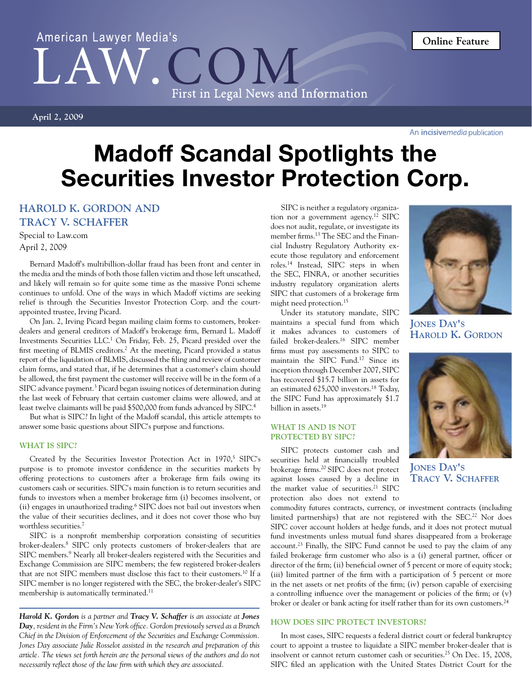# American Lawyer Media's  $LA$ First in Legal News and Information

**April 2, 2009**

An *incisivemedia* publication

# Madoff Scandal Spotlights the Securities Investor Protection Corp.

# **Harold K. Gordon and Tracy V. Schaffer**

Special to Law.com April 2, 2009

Bernard Madoff's multibillion-dollar fraud has been front and center in the media and the minds of both those fallen victim and those left unscathed, and likely will remain so for quite some time as the massive Ponzi scheme continues to unfold. One of the ways in which Madoff victims are seeking relief is through the Securities Investor Protection Corp. and the courtappointed trustee, Irving Picard.

On Jan. 2, Irving Picard began mailing claim forms to customers, brokerdealers and general creditors of Madoff's brokerage firm, Bernard L. Madoff Investments Securities LLC.1 On Friday, Feb. 25, Picard presided over the first meeting of BLMIS creditors.<sup>2</sup> At the meeting, Picard provided a status report of the liquidation of BLMIS, discussed the filing and review of customer claim forms, and stated that, if he determines that a customer's claim should be allowed, the first payment the customer will receive will be in the form of a SIPC advance payment.<sup>3</sup> Picard began issuing notices of determination during the last week of February that certain customer claims were allowed, and at least twelve claimants will be paid \$500,000 from funds advanced by SIPC.4

But what is SIPC? In light of the Madoff scandal, this article attempts to answer some basic questions about SIPC's purpose and functions.

# **WHAT IS SIPC?**

Created by the Securities Investor Protection Act in 1970,<sup>5</sup> SIPC's purpose is to promote investor confidence in the securities markets by offering protections to customers after a brokerage firm fails owing its customers cash or securities. SIPC's main function is to return securities and funds to investors when a member brokerage firm (i) becomes insolvent, or (ii) engages in unauthorized trading.<sup>6</sup> SIPC does not bail out investors when the value of their securities declines, and it does not cover those who buy worthless securities.7

SIPC is a nonprofit membership corporation consisting of securities broker-dealers.8 SIPC only protects customers of broker-dealers that are SIPC members.<sup>9</sup> Nearly all broker-dealers registered with the Securities and Exchange Commission are SIPC members; the few registered broker-dealers that are not SIPC members must disclose this fact to their customers.10 If a SIPC member is no longer registered with the SEC, the broker-dealer's SIPC membership is automatically terminated.<sup>11</sup>

*Harold K. Gordon is a partner and Tracy V. Schaffer is an associate at Jones Day, resident in the Firm's New York office. Gordon previously served as a Branch Chief in the Division of Enforcement of the Securities and Exchange Commission. Jones Day associate Julie Rosselot assisted in the research and preparation of this article. The views set forth herein are the personal views of the authors and do not necessarily reflect those of the law firm with which they are associated.*

SIPC is neither a regulatory organization nor a government agency.<sup>12</sup> SIPC does not audit, regulate, or investigate its member firms.13 The SEC and the Financial Industry Regulatory Authority execute those regulatory and enforcement roles.14 Instead, SIPC steps in when the SEC, FINRA, or another securities industry regulatory organization alerts SIPC that customers of a brokerage firm might need protection.15

Under its statutory mandate, SIPC maintains a special fund from which it makes advances to customers of failed broker-dealers.16 SIPC member firms must pay assessments to SIPC to maintain the SIPC Fund.17 Since its inception through December 2007, SIPC has recovered \$15.7 billion in assets for an estimated 625,000 investors.18 Today, the SIPC Fund has approximately \$1.7 billion in assets.<sup>19</sup>

# **WHAT IS AND IS NOT PROTECTED BY SIPC?**

SIPC protects customer cash and securities held at financially troubled brokerage firms.20 SIPC does not protect against losses caused by a decline in the market value of securities.<sup>21</sup> SIPC protection also does not extend to

commodity futures contracts, currency, or investment contracts (including limited partnerships) that are not registered with the SEC.<sup>22</sup> Nor does SIPC cover account holders at hedge funds, and it does not protect mutual fund investments unless mutual fund shares disappeared from a brokerage  $account<sup>23</sup> Finally, the SIPC Fund cannot be used to pay the claim of any$ failed brokerage firm customer who also is a (i) general partner, officer or director of the firm; (ii) beneficial owner of 5 percent or more of equity stock; (iii) limited partner of the firm with a participation of 5 percent or more in the net assets or net profits of the firm; (iv) person capable of exercising a controlling influence over the management or policies of the firm; or (v) broker or dealer or bank acting for itself rather than for its own customers.<sup>24</sup>

# **HOW DOES SIPC PROTECT INVESTORS?**

In most cases, SIPC requests a federal district court or federal bankruptcy court to appoint a trustee to liquidate a SIPC member broker-dealer that is insolvent or cannot return customer cash or securities.<sup>25</sup> On Dec. 15, 2008, SIPC filed an application with the United States District Court for the



**Jones Day's Harold K. Gordon**



**Jones Day's Tracy V. Schaffer**